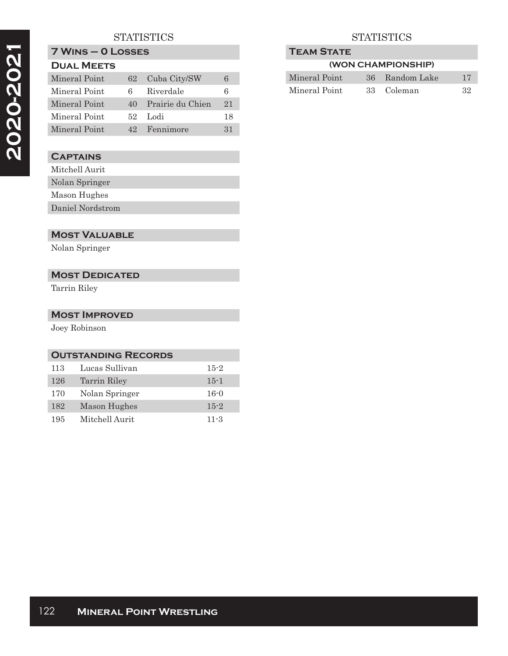### **STATISTICS**

# **7 Wins – 0 Losses**

## **Dual Meets**

| Mineral Point | 62  | Cuba City/SW     | 6  |
|---------------|-----|------------------|----|
| Mineral Point | 6.  | Riverdale        | 6  |
| Mineral Point | 40  | Prairie du Chien | 21 |
| Mineral Point |     | $52$ Lodi        | 18 |
| Mineral Point | 49. | Fennimore        | 31 |

#### **Captains**

| Mitchell Aurit   |
|------------------|
| Nolan Springer   |
| Mason Hughes     |
| Daniel Nordstrom |
|                  |

#### **Most Valuable**

Nolan Springer

## **MOST DEDICATED**

Tarrin Riley

#### **Most Improved**

Joey Robinson

| <b>OUTSTANDING RECORDS</b> |                |          |
|----------------------------|----------------|----------|
| 113                        | Lucas Sullivan | $15-2$   |
| 126                        | Tarrin Riley   | $15 - 1$ |
| 170                        | Nolan Springer | $16-0$   |
| 182                        | Mason Hughes   | $15 - 2$ |
| 195                        | Mitchell Aurit | $11 - 3$ |

### **STATISTICS**

#### **TEAM STATE (WON CHAMPIONSHIP)**

| (WON CHAMPIONSHIP) |  |                |     |
|--------------------|--|----------------|-----|
| Mineral Point      |  | 36 Random Lake | 17  |
| Mineral Point      |  | 33 Coleman     | -32 |